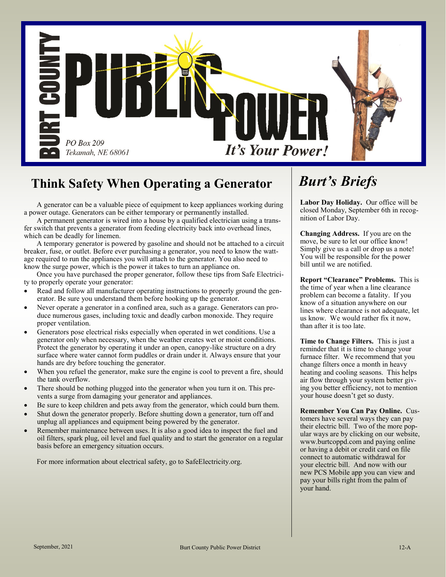

## **Think Safety When Operating a Generator**

A generator can be a valuable piece of equipment to keep appliances working during a power outage. Generators can be either temporary or permanently installed.

A permanent generator is wired into a house by a qualified electrician using a transfer switch that prevents a generator from feeding electricity back into overhead lines, which can be deadly for linemen.

A temporary generator is powered by gasoline and should not be attached to a circuit breaker, fuse, or outlet. Before ever purchasing a generator, you need to know the wattage required to run the appliances you will attach to the generator. You also need to know the surge power, which is the power it takes to turn an appliance on.

Once you have purchased the proper generator, follow these tips from Safe Electricity to properly operate your generator:

- Read and follow all manufacturer operating instructions to properly ground the generator. Be sure you understand them before hooking up the generator.
- Never operate a generator in a confined area, such as a garage. Generators can produce numerous gases, including toxic and deadly carbon monoxide. They require proper ventilation.
- Generators pose electrical risks especially when operated in wet conditions. Use a generator only when necessary, when the weather creates wet or moist conditions. Protect the generator by operating it under an open, canopy-like structure on a dry surface where water cannot form puddles or drain under it. Always ensure that your hands are dry before touching the generator.
- When you refuel the generator, make sure the engine is cool to prevent a fire, should the tank overflow.
- There should be nothing plugged into the generator when you turn it on. This prevents a surge from damaging your generator and appliances.
- Be sure to keep children and pets away from the generator, which could burn them.
- Shut down the generator properly. Before shutting down a generator, turn off and unplug all appliances and equipment being powered by the generator.
- Remember maintenance between uses. It is also a good idea to inspect the fuel and oil filters, spark plug, oil level and fuel quality and to start the generator on a regular basis before an emergency situation occurs.

For more information about electrical safety, go to SafeElectricity.org.

# *Burt's Briefs*

**Labor Day Holiday.** Our office will be closed Monday, September 6th in recognition of Labor Day.

**Changing Address.** If you are on the move, be sure to let our office know! Simply give us a call or drop us a note! You will be responsible for the power bill until we are notified.

**Report "Clearance" Problems.** This is the time of year when a line clearance problem can become a fatality. If you know of a situation anywhere on our lines where clearance is not adequate, let us know. We would rather fix it now, than after it is too late.

**Time to Change Filters.** This is just a reminder that it is time to change your furnace filter. We recommend that you change filters once a month in heavy heating and cooling seasons. This helps air flow through your system better giving you better efficiency, not to mention your house doesn't get so dusty.

**Remember You Can Pay Online.** Customers have several ways they can pay their electric bill. Two of the more popular ways are by clicking on our website, www.burtcoppd.com and paying online or having a debit or credit card on file connect to automatic withdrawal for your electric bill. And now with our new PCS Mobile app you can view and pay your bills right from the palm of your hand.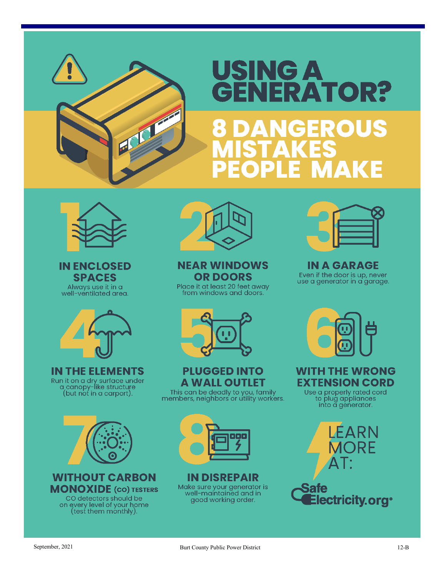

# USING A<br>GENERATOR? NGEROUS AKE 5.



**IN ENCLOSED SPACES** Always use it in a well-ventilated area.



**IN THE ELEMENTS** Run it on a dry surface under<br>a canopy-like structure<br>(but not in a carport).



**WITHOUT CARBON MONOXIDE** (CO) TESTERS CO detectors should be on every level of your home<br>(test them monthly).



**NEAR WINDOWS OR DOORS** 

Place it at least 20 feet away from windows and doors.



**PLUGGED INTO A WALL OUTLET** 

This can be deadly to you, family<br>members, neighbors or utility workers.



**IN DISREPAIR** Make sure your generator is<br>well-maintained and in good working order.



**IN A GARAGE** Even if the door is up, never<br>use a generator in a garage.



**WITH THE WRONG EXTENSION CORD** 

Use a properly rated cord<br>to plug appliances<br>into a generator.

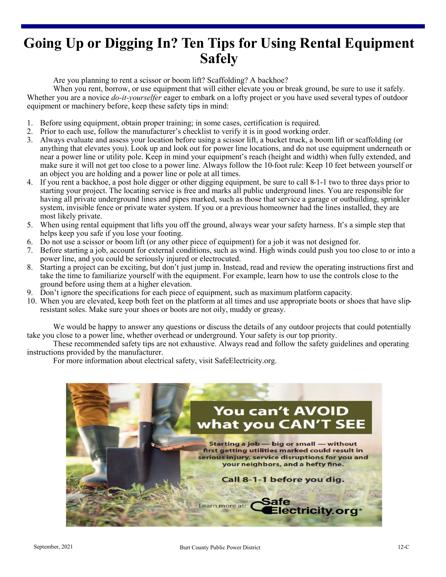## **Going Up or Digging In? Ten Tips for Using Rental Equipment Safely**

Are you planning to rent a scissor or boom lift? Scaffolding? A backhoe?

When you rent, borrow, or use equipment that will either elevate you or break ground, be sure to use it safely. Whether you are a novice *do-it-yourselfer* eager to embark on a lofty project or you have used several types of outdoor equipment or machinery before, keep these safety tips in mind:

- 1. Before using equipment, obtain proper training; in some cases, certification is required.
- 2. Prior to each use, follow the manufacturer's checklist to verify it is in good working order.
- 3. Always evaluate and assess your location before using a scissor lift, a bucket truck, a boom lift or scaffolding (or anything that elevates you). Look up and look out for power line locations, and do not use equipment underneath or near a power line or utility pole. Keep in mind your equipment's reach (height and width) when fully extended, and make sure it will not get too close to a power line. Always follow the 10-foot rule: Keep 10 feet between yourself or an object you are holding and a power line or pole at all times.
- 4. If you rent a backhoe, a post hole digger or other digging equipment, be sure to call 8-1-1 two to three days prior to starting your project. The locating service is free and marks all public underground lines. You are responsible for having all private underground lines and pipes marked, such as those that service a garage or outbuilding, sprinkler system, invisible fence or private water system. If you or a previous homeowner had the lines installed, they are most likely private.
- 5. When using rental equipment that lifts you off the ground, always wear your safety harness. It's a simple step that helps keep you safe if you lose your footing.
- 6. Do not use a scissor or boom lift (or any other piece of equipment) for a job it was not designed for.
- 7. Before starting a job, account for external conditions, such as wind. High winds could push you too close to or into a power line, and you could be seriously injured or electrocuted.
- 8. Starting a project can be exciting, but don't just jump in. Instead, read and review the operating instructions first and take the time to familiarize yourself with the equipment. For example, learn how to use the controls close to the ground before using them at a higher elevation.
- 9. Don't ignore the specifications for each piece of equipment, such as maximum platform capacity.
- 10. When you are elevated, keep both feet on the platform at all times and use appropriate boots or shoes that have slipresistant soles. Make sure your shoes or boots are not oily, muddy or greasy.

We would be happy to answer any questions or discuss the details of any outdoor projects that could potentially take you close to a power line, whether overhead or underground. Your safety is our top priority.

These recommended safety tips are not exhaustive. Always read and follow the safety guidelines and operating instructions provided by the manufacturer.

For more information about electrical safety, visit SafeElectricity.org.